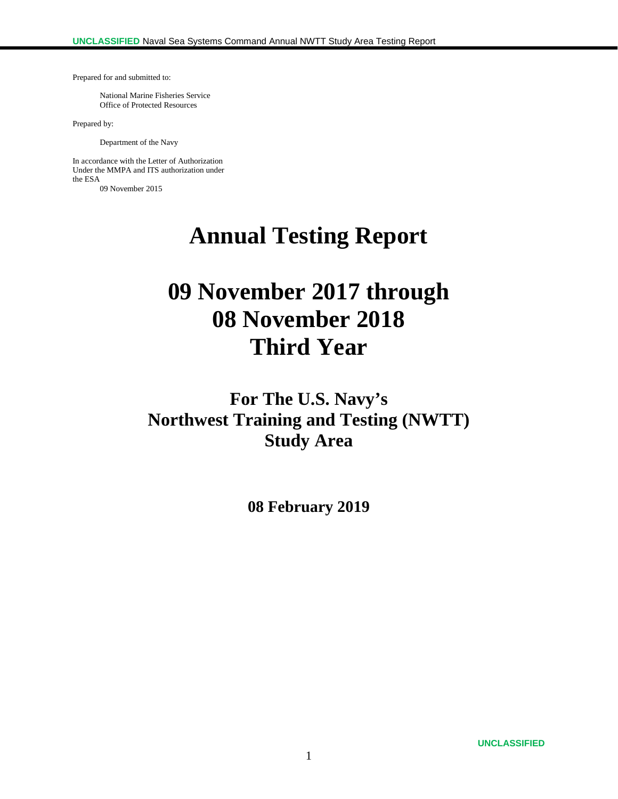Prepared for and submitted to:

National Marine Fisheries Service Office of Protected Resources

Prepared by:

Department of the Navy

In accordance with the Letter of Authorization Under the MMPA and ITS authorization under the ESA 09 November 2015

**Annual Testing Report**

# **09 November 2017 through 08 November 2018 Third Year**

**For The U.S. Navy's Northwest Training and Testing (NWTT) Study Area**

**08 February 2019**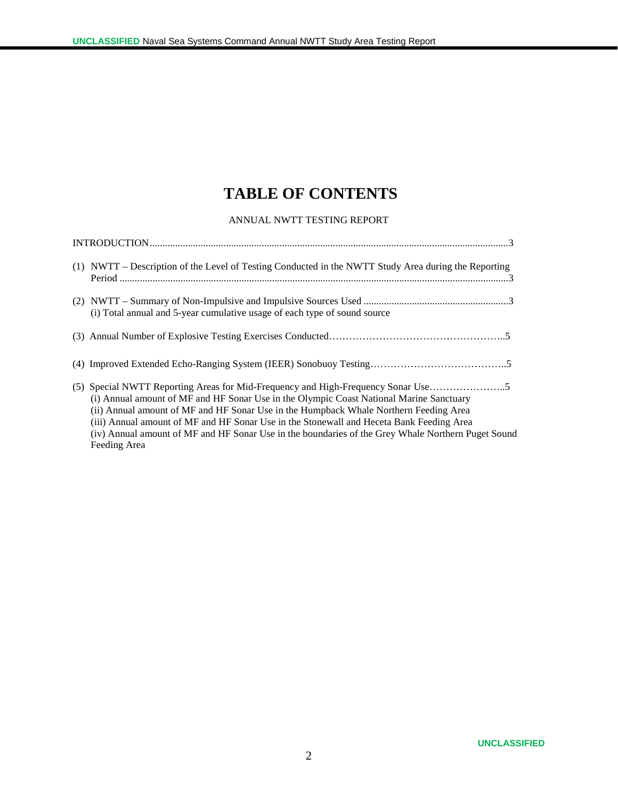# **TABLE OF CONTENTS**

#### ANNUAL NWTT TESTING REPORT

| (1) NWTT – Description of the Level of Testing Conducted in the NWTT Study Area during the Reporting                                                                                                                                                                                                                                                                                                                                                                                  |
|---------------------------------------------------------------------------------------------------------------------------------------------------------------------------------------------------------------------------------------------------------------------------------------------------------------------------------------------------------------------------------------------------------------------------------------------------------------------------------------|
| (i) Total annual and 5-year cumulative usage of each type of sound source                                                                                                                                                                                                                                                                                                                                                                                                             |
|                                                                                                                                                                                                                                                                                                                                                                                                                                                                                       |
|                                                                                                                                                                                                                                                                                                                                                                                                                                                                                       |
| (5) Special NWTT Reporting Areas for Mid-Frequency and High-Frequency Sonar Use<br>(i) Annual amount of MF and HF Sonar Use in the Olympic Coast National Marine Sanctuary<br>(ii) Annual amount of MF and HF Sonar Use in the Humpback Whale Northern Feeding Area<br>(iii) Annual amount of MF and HF Sonar Use in the Stonewall and Heceta Bank Feeding Area<br>(iv) Annual amount of MF and HF Sonar Use in the boundaries of the Grey Whale Northern Puget Sound<br>Feeding Area |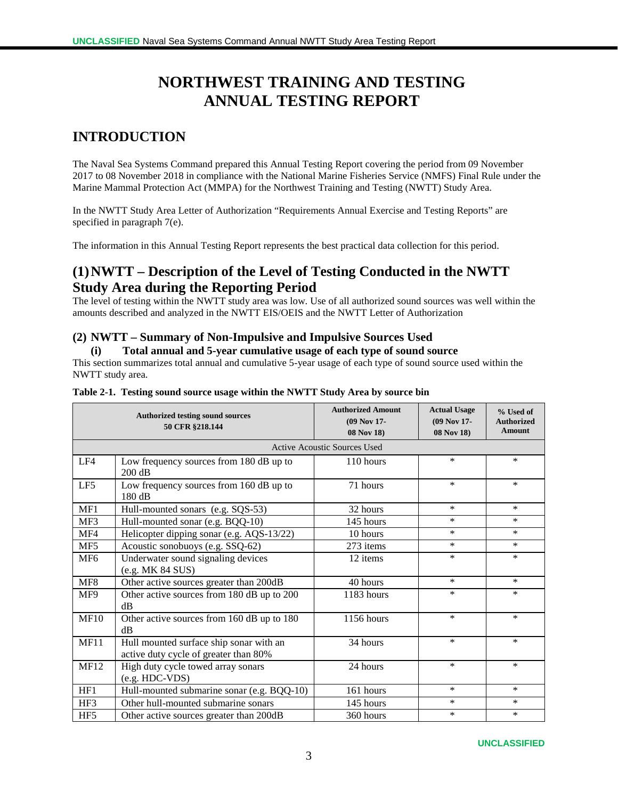# **NORTHWEST TRAINING AND TESTING ANNUAL TESTING REPORT**

# **INTRODUCTION**

The Naval Sea Systems Command prepared this Annual Testing Report covering the period from 09 November 2017 to 08 November 2018 in compliance with the National Marine Fisheries Service (NMFS) Final Rule under the Marine Mammal Protection Act (MMPA) for the Northwest Training and Testing (NWTT) Study Area.

In the NWTT Study Area Letter of Authorization "Requirements Annual Exercise and Testing Reports" are specified in paragraph 7(e).

The information in this Annual Testing Report represents the best practical data collection for this period.

# **(1)NWTT – Description of the Level of Testing Conducted in the NWTT Study Area during the Reporting Period**

The level of testing within the NWTT study area was low. Use of all authorized sound sources was well within the amounts described and analyzed in the NWTT EIS/OEIS and the NWTT Letter of Authorization

### **(2) NWTT – Summary of Non-Impulsive and Impulsive Sources Used**

#### **(i) Total annual and 5-year cumulative usage of each type of sound source**

This section summarizes total annual and cumulative 5-year usage of each type of sound source used within the NWTT study area.

|                 | <b>Authorized testing sound sources</b><br>50 CFR §218.144                       | <b>Authorized Amount</b><br>(09 Nov 17-<br>08 Nov 18) | <b>Actual Usage</b><br>(09 Nov 17-<br>08 Nov 18) | % Used of<br><b>Authorized</b><br><b>Amount</b> |
|-----------------|----------------------------------------------------------------------------------|-------------------------------------------------------|--------------------------------------------------|-------------------------------------------------|
|                 |                                                                                  | Active Acoustic Sources Used                          |                                                  |                                                 |
| LF4             | Low frequency sources from 180 dB up to<br>200 dB                                | 110 hours                                             | $\ast$                                           | $\ast$                                          |
| LF5             | Low frequency sources from 160 dB up to<br>180 dB                                | 71 hours                                              | $\ast$                                           | $\ast$                                          |
| MF1             | Hull-mounted sonars (e.g. SQS-53)                                                | 32 hours                                              | $\ast$                                           | $\ast$                                          |
| MF3             | Hull-mounted sonar (e.g. BQQ-10)                                                 | 145 hours                                             | $\ast$                                           | $\ast$                                          |
| MF4             | Helicopter dipping sonar (e.g. AQS-13/22)                                        | 10 hours                                              | $\ast$                                           | $\ast$                                          |
| MF5             | Acoustic sonobuoys (e.g. SSQ-62)                                                 | 273 items                                             | $\ast$                                           | $\ast$                                          |
| MF <sub>6</sub> | Underwater sound signaling devices<br>(e.g. MK 84 SUS)                           | 12 items                                              | $\ast$                                           | $\ast$                                          |
| MF8             | Other active sources greater than 200dB                                          | 40 hours                                              | $\ast$                                           | $\ast$                                          |
| MF9             | Other active sources from 180 dB up to 200<br>dB                                 | 1183 hours                                            | *                                                | ∗                                               |
| MF10            | Other active sources from 160 dB up to 180<br>dB                                 | 1156 hours                                            | $\ast$                                           | $\ast$                                          |
| <b>MF11</b>     | Hull mounted surface ship sonar with an<br>active duty cycle of greater than 80% | 34 hours                                              | $\ast$                                           | $\ast$                                          |
| <b>MF12</b>     | High duty cycle towed array sonars<br>$(e.g. HDC-VDS)$                           | 24 hours                                              | $\ast$                                           | $\ast$                                          |
| HF1             | Hull-mounted submarine sonar (e.g. BQQ-10)                                       | 161 hours                                             | $\ast$                                           | $\ast$                                          |
| HF3             | Other hull-mounted submarine sonars                                              | 145 hours                                             | $\ast$                                           | *                                               |
| HF <sub>5</sub> | Other active sources greater than 200dB                                          | 360 hours                                             | $\ast$                                           | $\ast$                                          |

#### **Table 2-1. Testing sound source usage within the NWTT Study Area by source bin**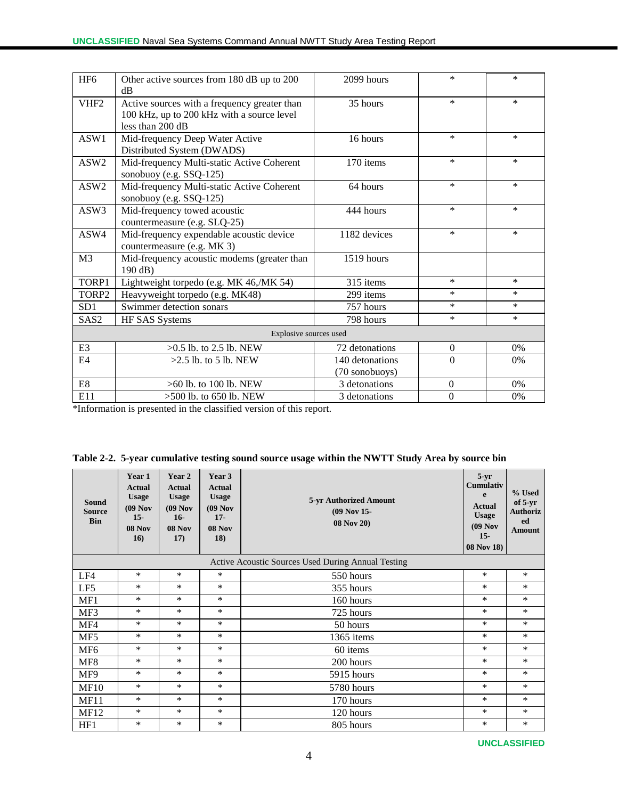| HF <sub>6</sub>  | Other active sources from 180 dB up to 200<br>$\rm dB$                                                           | 2099 hours                        | $\ast$           | $\ast$ |
|------------------|------------------------------------------------------------------------------------------------------------------|-----------------------------------|------------------|--------|
| VHF <sub>2</sub> | Active sources with a frequency greater than<br>100 kHz, up to 200 kHz with a source level<br>less than $200$ dB | 35 hours                          | $\ast$           | $\ast$ |
| ASW1             | Mid-frequency Deep Water Active<br>Distributed System (DWADS)                                                    | 16 hours                          | $\ast$           | $\ast$ |
| ASW <sub>2</sub> | Mid-frequency Multi-static Active Coherent<br>sonobuoy (e.g. SSQ-125)                                            | 170 items                         | $\ast$           | $\ast$ |
| ASW2             | Mid-frequency Multi-static Active Coherent<br>sonobuoy (e.g. SSQ-125)                                            | 64 hours                          | $\ast$           | $\ast$ |
| ASW3             | Mid-frequency towed acoustic<br>countermeasure (e.g. SLQ-25)                                                     | 444 hours                         | $\ast$           | $\ast$ |
| ASW4             | Mid-frequency expendable acoustic device<br>countermeasure (e.g. MK 3)                                           | 1182 devices                      | $\ast$           | $\ast$ |
| M <sub>3</sub>   | Mid-frequency acoustic modems (greater than<br>190 dB)                                                           | 1519 hours                        |                  |        |
| TORP1            | Lightweight torpedo (e.g. MK 46,/MK 54)                                                                          | 315 items                         | $\ast$           | ∗      |
| TORP2            | Heavyweight torpedo (e.g. MK48)                                                                                  | 299 items                         | $\ast$           | $\ast$ |
| SD <sub>1</sub>  | Swimmer detection sonars                                                                                         | 757 hours                         | $\ast$           | $\ast$ |
| SAS <sub>2</sub> | HF SAS Systems                                                                                                   | 798 hours                         | $\ast$           | $\ast$ |
|                  | Explosive sources used                                                                                           |                                   |                  |        |
| E <sub>3</sub>   | $>0.5$ lb. to 2.5 lb. NEW                                                                                        | 72 detonations                    | $\mathbf{0}$     | 0%     |
| E4               | $>2.5$ lb, to 5 lb. NEW                                                                                          | 140 detonations<br>(70 sonobuoys) | $\Omega$         | 0%     |
| ${\rm E}8$       | >60 lb. to 100 lb. NEW                                                                                           | 3 detonations                     | $\boldsymbol{0}$ | 0%     |
| E11              | $>500$ lb. to 650 lb. NEW                                                                                        | 3 detonations                     | $\mathbf{0}$     | 0%     |

\*Information is presented in the classified version of this report.

|  | Table 2-2. 5-year cumulative testing sound source usage within the NWTT Study Area by source bin |  |  |  |  |  |
|--|--------------------------------------------------------------------------------------------------|--|--|--|--|--|
|  |                                                                                                  |  |  |  |  |  |

| Sound<br><b>Source</b><br><b>Bin</b> | Year 1<br><b>Actual</b><br><b>Usage</b><br>$(09$ Nov<br>$15 -$<br>$08$ Nov<br>16) | Year 2<br><b>Actual</b><br><b>Usage</b><br>$(09$ Nov<br>$16-$<br>08 Nov<br>17) | Year 3<br><b>Actual</b><br><b>Usage</b><br>$(09$ Nov<br>$17 -$<br><b>08 Nov</b><br>18) | Cumulativ<br>5-yr Authorized Amount<br>$(09$ Nov 15-<br>08 Nov 20)<br><b>08 Nov 18</b> ) |        | % Used<br>of $5-yr$<br><b>Authoriz</b><br>ed<br><b>Amount</b> |
|--------------------------------------|-----------------------------------------------------------------------------------|--------------------------------------------------------------------------------|----------------------------------------------------------------------------------------|------------------------------------------------------------------------------------------|--------|---------------------------------------------------------------|
|                                      |                                                                                   |                                                                                |                                                                                        | Active Acoustic Sources Used During Annual Testing                                       |        |                                                               |
| LF4                                  | $\ast$                                                                            | *                                                                              | *                                                                                      | 550 hours                                                                                | *      | $\ast$                                                        |
| LF5                                  | $\ast$                                                                            | $\ast$                                                                         | *                                                                                      | 355 hours                                                                                | *      | $\ast$                                                        |
| MF1                                  | $\ast$                                                                            | *                                                                              | *                                                                                      | 160 hours                                                                                | $\ast$ | $\ast$                                                        |
| MF3                                  | $\ast$                                                                            | $\ast$                                                                         | *                                                                                      | 725 hours                                                                                | *      | $\ast$                                                        |
| MF4                                  | $\ast$                                                                            | *                                                                              | *                                                                                      | 50 hours                                                                                 | $\ast$ | $\ast$                                                        |
| MF5                                  | $\ast$                                                                            | $\ast$                                                                         | *                                                                                      | 1365 items                                                                               | $\ast$ | $\ast$                                                        |
| MF <sub>6</sub>                      | $\ast$                                                                            | *                                                                              | *                                                                                      | 60 items                                                                                 | $\ast$ | $\ast$                                                        |
| MF <sub>8</sub>                      | $\ast$                                                                            | *                                                                              | *                                                                                      | 200 hours                                                                                | *      | *                                                             |
| MF9                                  | $\ast$                                                                            | *                                                                              | *                                                                                      | 5915 hours                                                                               | *      | *                                                             |
| MF10                                 | $\ast$                                                                            | $\ast$                                                                         | $\ast$                                                                                 | 5780 hours                                                                               | $\ast$ | $\ast$                                                        |
| <b>MF11</b>                          | $\ast$                                                                            | $\ast$                                                                         | *                                                                                      | 170 hours                                                                                | *      | $\ast$                                                        |
| MF <sub>12</sub>                     | $\ast$                                                                            | *                                                                              | *                                                                                      | 120 hours                                                                                | $\ast$ | *                                                             |
| HF1                                  | *                                                                                 | *                                                                              | *                                                                                      | 805 hours                                                                                | *      | *                                                             |